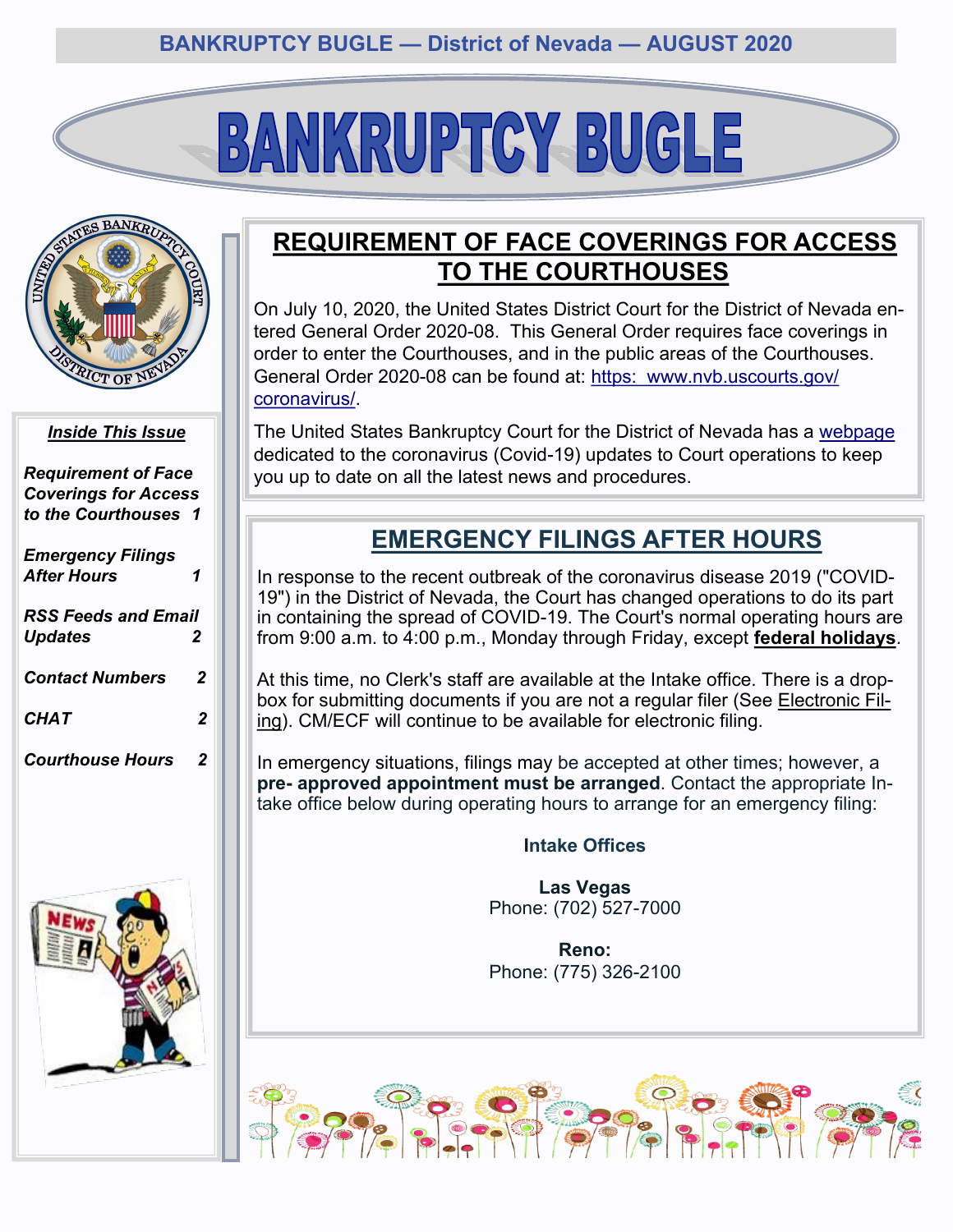# BANKRUPTCY BUGLE



#### *Inside This Issue*

*Requirement of Face Coverings for Access to the Courthouses 1 Emergency Filings After Hours 1 [RSS Feeds and Email](#page-1-0)  Updates 2 [Contact Numbers](#page-1-0) 2 [CHAT 2](#page-1-0)*

*[Courthouse Hours 2](#page-1-0)*



## **REQUIREMENT OF FACE COVERINGS FOR ACCESS TO THE COURTHOUSES**

On July 10, 2020, the United States District Court for the District of Nevada entered General Order 2020-08. This General Order requires face coverings in order to enter the Courthouses, and in the public areas of the Courthouses. General Order 2020-08 can be found at: [https: www.nvb.uscourts.gov/](https://www.nvb.uscourts.gov/coronavirus/) [coronavirus/.](https://www.nvb.uscourts.gov/coronavirus/) 

The United States Bankruptcy Court for the District of Nevada has a [webpage](https://www.nvb.uscourts.gov/coronavirus/) dedicated to the coronavirus (Covid-19) updates to Court operations to keep you up to date on all the latest news and procedures.

# **EMERGENCY FILINGS AFTER HOURS**

In response to the recent outbreak of the coronavirus disease 2019 ("COVID-19") in the District of Nevada, the Court has changed operations to do its part in containing the spread of COVID-19. The Court's normal operating hours are from 9:00 a.m. to 4:00 p.m., Monday through Friday, except **[federal holidays](https://www.nvb.uscourts.gov/about-the-court/holidays/)**.

At this time, no Clerk's staff are available at the Intake office. There is a drop-box for submitting documents if you are not a regular filer (See [Electronic Fil](https://www.nvb.uscourts.gov/electronic-case-filing/)[ing\)](https://www.nvb.uscourts.gov/electronic-case-filing/). CM/ECF will continue to be available for electronic filing.

In emergency situations, filings may be accepted at other times; however, a **pre- approved appointment must be arranged**. Contact the appropriate Intake office below during operating hours to arrange for an emergency filing:

#### **Intake Offices**

**Las Vegas** Phone: (702) 527-7000

**Reno:** Phone: (775) 326-2100